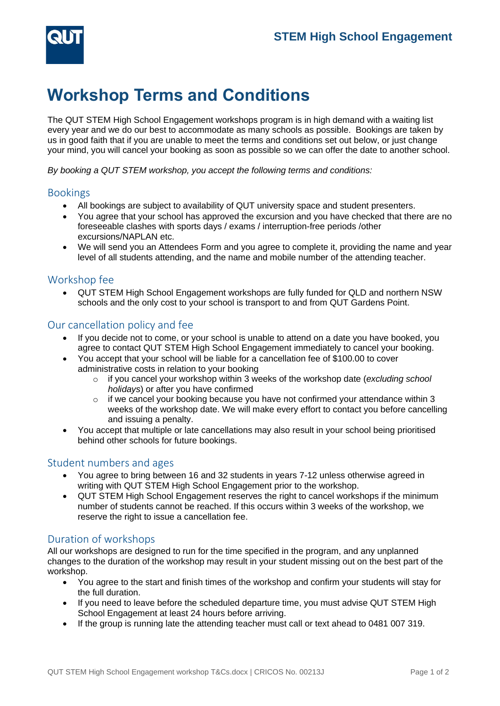

# **Workshop Terms and Conditions**

The QUT STEM High School Engagement workshops program is in high demand with a waiting list every year and we do our best to accommodate as many schools as possible. Bookings are taken by us in good faith that if you are unable to meet the terms and conditions set out below, or just change your mind, you will cancel your booking as soon as possible so we can offer the date to another school.

*By booking a QUT STEM workshop, you accept the following terms and conditions:*

#### Bookings

- All bookings are subject to availability of QUT university space and student presenters.
- You agree that your school has approved the excursion and you have checked that there are no foreseeable clashes with sports days / exams / interruption-free periods /other excursions/NAPLAN etc.
- We will send you an Attendees Form and you agree to complete it, providing the name and year level of all students attending, and the name and mobile number of the attending teacher.

#### Workshop fee

• QUT STEM High School Engagement workshops are fully funded for QLD and northern NSW schools and the only cost to your school is transport to and from QUT Gardens Point.

## Our cancellation policy and fee

- If you decide not to come, or your school is unable to attend on a date you have booked, you agree to contact QUT STEM High School Engagement immediately to cancel your booking.
- You accept that your school will be liable for a cancellation fee of \$100.00 to cover administrative costs in relation to your booking
	- o if you cancel your workshop within 3 weeks of the workshop date (*excluding school holidays*) or after you have confirmed
	- $\circ$  if we cancel your booking because you have not confirmed your attendance within 3 weeks of the workshop date. We will make every effort to contact you before cancelling and issuing a penalty.
- You accept that multiple or late cancellations may also result in your school being prioritised behind other schools for future bookings.

## Student numbers and ages

- You agree to bring between 16 and 32 students in years 7-12 unless otherwise agreed in writing with QUT STEM High School Engagement prior to the workshop.
- QUT STEM High School Engagement reserves the right to cancel workshops if the minimum number of students cannot be reached. If this occurs within 3 weeks of the workshop, we reserve the right to issue a cancellation fee.

## Duration of workshops

All our workshops are designed to run for the time specified in the program, and any unplanned changes to the duration of the workshop may result in your student missing out on the best part of the workshop.

- You agree to the start and finish times of the workshop and confirm your students will stay for the full duration.
- If you need to leave before the scheduled departure time, you must advise QUT STEM High School Engagement at least 24 hours before arriving.
- If the group is running late the attending teacher must call or text ahead to 0481 007 319.